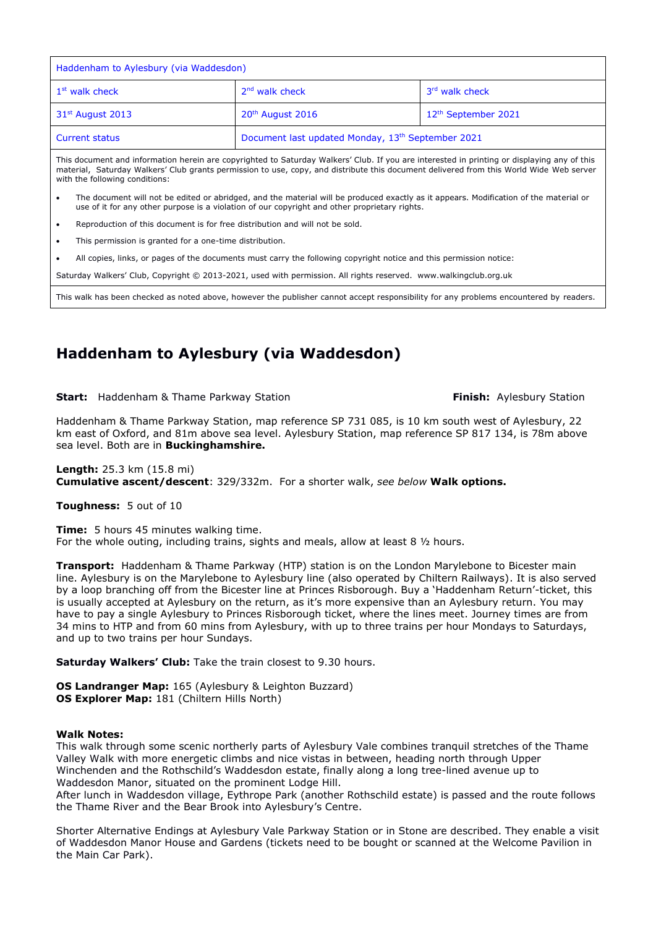| Haddenham to Aylesbury (via Waddesdon)                                                                                                     |                                                   |                                 |
|--------------------------------------------------------------------------------------------------------------------------------------------|---------------------------------------------------|---------------------------------|
| 1 <sup>st</sup> walk check                                                                                                                 | $2nd$ walk check                                  | 3rd walk check                  |
| 31 <sup>st</sup> August 2013                                                                                                               | 20 <sup>th</sup> August 2016                      | 12 <sup>th</sup> September 2021 |
| <b>Current status</b>                                                                                                                      | Document last updated Monday, 13th September 2021 |                                 |
| This decument and information bergin are convigated to Caturday Walkers' Club. If you are interseted in printing or displaying any of this |                                                   |                                 |

This document and information herein are copyrighted to Saturday Walkers' Club. If you are interested in printing or displaying any of this material, Saturday Walkers' Club grants permission to use, copy, and distribute this document delivered from this World Wide Web server with the following conditions:

- The document will not be edited or abridged, and the material will be produced exactly as it appears. Modification of the material or use of it for any other purpose is a violation of our copyright and other proprietary rights.
- Reproduction of this document is for free distribution and will not be sold.
- This permission is granted for a one-time distribution.
- All copies, links, or pages of the documents must carry the following copyright notice and this permission notice:

Saturday Walkers' Club, Copyright © 2013-2021, used with permission. All rights reserved. www.walkingclub.org.uk

This walk has been checked as noted above, however the publisher cannot accept responsibility for any problems encountered by readers.

# **Haddenham to Aylesbury (via Waddesdon)**

**Start:** Haddenham & Thame Parkway Station **Finish:** Aylesbury Station **Finish:** Aylesbury Station

Haddenham & Thame Parkway Station, map reference SP 731 085, is 10 km south west of Aylesbury, 22 km east of Oxford, and 81m above sea level. Aylesbury Station, map reference SP 817 134, is 78m above sea level. Both are in **Buckinghamshire.**

**Length:** 25.3 km (15.8 mi) **Cumulative ascent/descent**: 329/332m. For a shorter walk, *see below* **Walk options.**

**Toughness:** 5 out of 10

**Time:** 5 hours 45 minutes walking time. For the whole outing, including trains, sights and meals, allow at least 8  $\frac{1}{2}$  hours.

**Transport:** Haddenham & Thame Parkway (HTP) station is on the London Marylebone to Bicester main line. Aylesbury is on the Marylebone to Aylesbury line (also operated by Chiltern Railways). It is also served by a loop branching off from the Bicester line at Princes Risborough. Buy a 'Haddenham Return'-ticket, this is usually accepted at Aylesbury on the return, as it's more expensive than an Aylesbury return. You may have to pay a single Aylesbury to Princes Risborough ticket, where the lines meet. Journey times are from 34 mins to HTP and from 60 mins from Aylesbury, with up to three trains per hour Mondays to Saturdays, and up to two trains per hour Sundays.

**Saturday Walkers' Club:** Take the train closest to 9.30 hours.

**OS Landranger Map:** 165 (Aylesbury & Leighton Buzzard) **OS Explorer Map:** 181 (Chiltern Hills North)

#### **Walk Notes:**

This walk through some scenic northerly parts of Aylesbury Vale combines tranquil stretches of the Thame Valley Walk with more energetic climbs and nice vistas in between, heading north through Upper Winchenden and the Rothschild's Waddesdon estate, finally along a long tree-lined avenue up to Waddesdon Manor, situated on the prominent Lodge Hill.

After lunch in Waddesdon village, Eythrope Park (another Rothschild estate) is passed and the route follows the Thame River and the Bear Brook into Aylesbury's Centre.

Shorter Alternative Endings at Aylesbury Vale Parkway Station or in Stone are described. They enable a visit of Waddesdon Manor House and Gardens (tickets need to be bought or scanned at the Welcome Pavilion in the Main Car Park).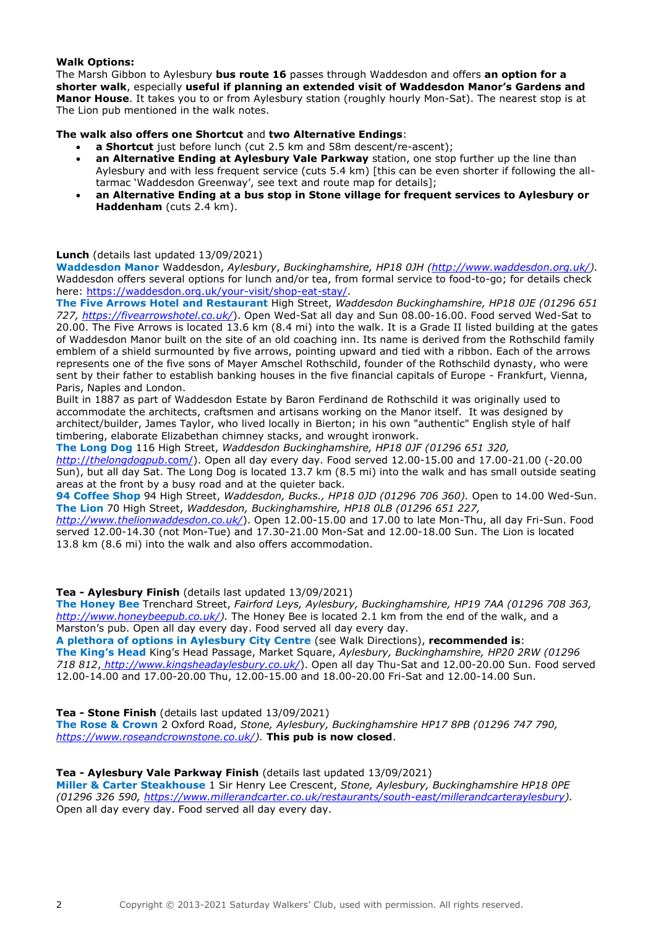# **Walk Options:**

The Marsh Gibbon to Aylesbury **bus route 16** passes through Waddesdon and offers **an option for a shorter walk**, especially **useful if planning an extended visit of Waddesdon Manor's Gardens and Manor House**. It takes you to or from Aylesbury station (roughly hourly Mon-Sat). The nearest stop is at The Lion pub mentioned in the walk notes.

**The walk also offers one Shortcut** and **two Alternative Endings**:

- **a Shortcut** just before lunch (cut 2.5 km and 58m descent/re-ascent);
- **an Alternative Ending at Aylesbury Vale Parkway** station, one stop further up the line than Aylesbury and with less frequent service (cuts 5.4 km) [this can be even shorter if following the alltarmac 'Waddesdon Greenway', see text and route map for details];
- **an Alternative Ending at a bus stop in Stone village for frequent services to Aylesbury or Haddenham** (cuts 2.4 km).

#### **Lunch** (details last updated 13/09/2021)

**Waddesdon Manor** Waddesdon, *Aylesbury*, *Buckinghamshire, HP18 0JH [\(http://www.waddesdon.org.uk/\)](http://www.waddesdon.org.uk/).*  Waddesdon offers several options for lunch and/or tea, from formal service to food-to-go; for details check here: [https://waddesdon.org.uk/your-visit/shop-eat-stay/.](https://waddesdon.org.uk/your-visit/shop-eat-stay/)

**The Five Arrows Hotel and Restaurant** High Street, *Waddesdon Buckinghamshire, HP18 0JE (01296 651 727,<https://fivearrowshotel.co.uk/>*). Open Wed-Sat all day and Sun 08.00-16.00. Food served Wed-Sat to 20.00. The Five Arrows is located 13.6 km (8.4 mi) into the walk. It is a Grade II listed building at the gates of Waddesdon Manor built on the site of an old coaching inn. Its name is derived from the Rothschild family emblem of a shield surmounted by five arrows, pointing upward and tied with a ribbon. Each of the arrows represents one of the five sons of Mayer Amschel Rothschild, founder of the Rothschild dynasty, who were sent by their father to establish banking houses in the five financial capitals of Europe - Frankfurt, Vienna, Paris, Naples and London.

Built in 1887 as part of Waddesdon Estate by Baron Ferdinand de Rothschild it was originally used to accommodate the architects, craftsmen and artisans working on the Manor itself. It was designed by architect/builder, James Taylor, who lived locally in Bierton; in his own "authentic" English style of half timbering, elaborate Elizabethan chimney stacks, and wrought ironwork.

**The Long Dog** 116 High Street, *Waddesdon Buckinghamshire, HP18 0JF (01296 651 320,* 

*http*://*[thelongdogpub](http://thelongdogpub.com/)*.com/). Open all day every day. Food served 12.00-15.00 and 17.00-21.00 (-20.00 Sun), but all day Sat. The Long Dog is located 13.7 km (8.5 mi) into the walk and has small outside seating areas at the front by a busy road and at the quieter back.

**94 Coffee Shop** 94 High Street, *Waddesdon, Bucks., HP18 0JD (01296 706 360).* Open to 14.00 Wed-Sun. **The Lion** 70 High Street, *Waddesdon, Buckinghamshire, HP18 0LB (01296 651 227,* 

*<http://www.thelionwaddesdon.co.uk/>*). Open 12.00-15.00 and 17.00 to late Mon-Thu, all day Fri-Sun. Food served 12.00-14.30 (not Mon-Tue) and 17.30-21.00 Mon-Sat and 12.00-18.00 Sun. The Lion is located 13.8 km (8.6 mi) into the walk and also offers accommodation.

### **Tea - Aylesbury Finish** (details last updated 13/09/2021)

**The Honey Bee** Trenchard Street, *Fairford Leys, Aylesbury, Buckinghamshire, HP19 7AA (01296 708 363, [http://www.honeybeepub.co.uk/\)](http://www.honeybeepub.co.uk/).* The Honey Bee is located 2.1 km from the end of the walk, and a Marston's pub. Open all day every day. Food served all day every day.

**A plethora of options in Aylesbury City Centre** (see Walk Directions), **recommended is**: **The King's Head** King's Head Passage, Market Square, *Aylesbury, Buckinghamshire, HP20 2RW (01296 718 812*, *http://www.kingsheadaylesbury.co.uk/*). Open all day Thu-Sat and 12.00-20.00 Sun. Food served 12.00-14.00 and 17.00-20.00 Thu, 12.00-15.00 and 18.00-20.00 Fri-Sat and 12.00-14.00 Sun.

### **Tea - Stone Finish** (details last updated 13/09/2021)

**The Rose & Crown** 2 Oxford Road, *Stone, Aylesbury, Buckinghamshire HP17 8PB (01296 747 790, [https://www.roseandcrownstone.co.uk/\)](https://www.roseandcrownstone.co.uk/).* **This pub is now closed**.

# **Tea - Aylesbury Vale Parkway Finish** (details last updated 13/09/2021)

**Miller & Carter Steakhouse** 1 Sir Henry Lee Crescent, *Stone, Aylesbury, Buckinghamshire HP18 0PE (01296 326 590, [https://www.millerandcarter.co.uk/restaurants/south-east/millerandcarteraylesbury\)](https://www.millerandcarter.co.uk/restaurants/south-east/millerandcarteraylesbury).*  Open all day every day. Food served all day every day.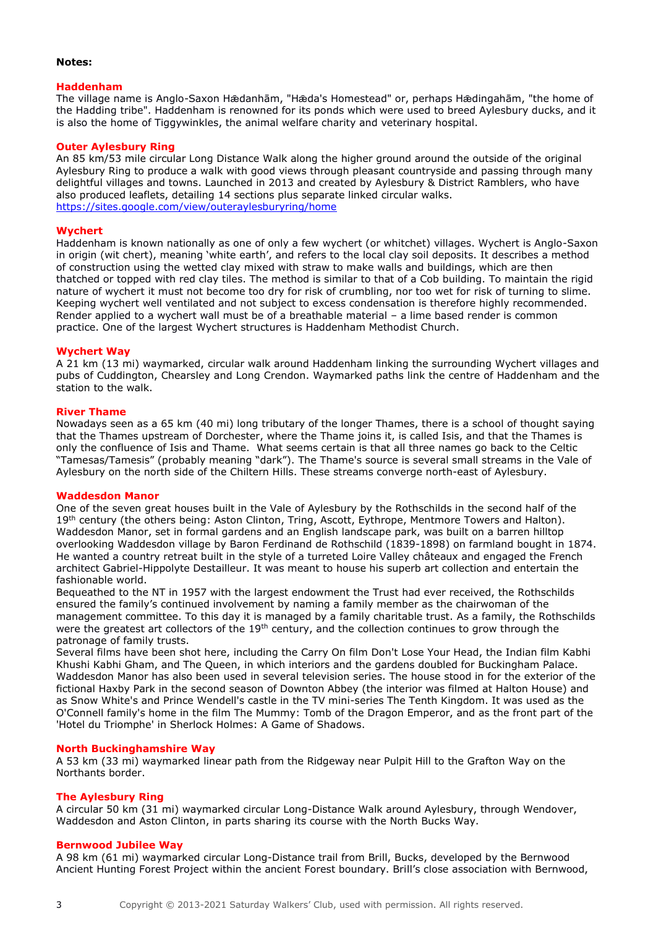### **Notes:**

#### **Haddenham**

The village name is Anglo-Saxon Hǣdanhām, "Hǣda's Homestead" or, perhaps Hǣdingahām, "the home of the Hadding tribe". Haddenham is renowned for its ponds which were used to breed Aylesbury ducks, and it is also the home of Tiggywinkles, the animal welfare charity and veterinary hospital.

### **Outer Aylesbury Ring**

An 85 km/53 mile circular Long Distance Walk along the higher ground around the outside of the original Aylesbury Ring to produce a walk with good views through pleasant countryside and passing through many delightful villages and towns. Launched in 2013 and created by Aylesbury & District Ramblers, who have also produced leaflets, detailing 14 sections plus separate linked circular walks. <https://sites.google.com/view/outeraylesburyring/home>

#### **Wychert**

Haddenham is known nationally as one of only a few wychert (or whitchet) villages. Wychert is Anglo-Saxon in origin (wit chert), meaning 'white earth', and refers to the local clay soil deposits. It describes a method of construction using the wetted clay mixed with straw to make walls and buildings, which are then thatched or topped with red clay tiles. The method is similar to that of a Cob building. To maintain the rigid nature of wychert it must not become too dry for risk of crumbling, nor too wet for risk of turning to slime. Keeping wychert well ventilated and not subject to excess condensation is therefore highly recommended. Render applied to a wychert wall must be of a breathable material – a lime based render is common practice. One of the largest Wychert structures is Haddenham Methodist Church.

#### **Wychert Way**

A 21 km (13 mi) waymarked, circular walk around Haddenham linking the surrounding Wychert villages and pubs of Cuddington, Chearsley and Long Crendon. Waymarked paths link the centre of Haddenham and the station to the walk.

#### **River Thame**

Nowadays seen as a 65 km (40 mi) long tributary of the longer Thames, there is a school of thought saying that the Thames upstream of Dorchester, where the Thame joins it, is called Isis, and that the Thames is only the confluence of Isis and Thame. What seems certain is that all three names go back to the Celtic "Tamesas/Tamesis" (probably meaning "dark"). The Thame's source is several small streams in the Vale of Aylesbury on the north side of the Chiltern Hills. These streams converge north-east of Aylesbury.

#### **Waddesdon Manor**

One of the seven great houses built in the Vale of Aylesbury by the Rothschilds in the second half of the 19<sup>th</sup> century (the others being: Aston Clinton, Tring, Ascott, Eythrope, Mentmore Towers and Halton). Waddesdon Manor, set in formal gardens and an English landscape park, was built on a barren hilltop overlooking Waddesdon village by Baron Ferdinand de Rothschild (1839-1898) on farmland bought in 1874. He wanted a country retreat built in the style of a turreted Loire Valley châteaux and engaged the French architect Gabriel-Hippolyte Destailleur. It was meant to house his superb art collection and entertain the fashionable world.

Bequeathed to the NT in 1957 with the largest endowment the Trust had ever received, the Rothschilds ensured the family's continued involvement by naming a family member as the chairwoman of the management committee. To this day it is managed by a family charitable trust. As a family, the Rothschilds were the greatest art collectors of the 19<sup>th</sup> century, and the collection continues to grow through the patronage of family trusts.

Several films have been shot here, including the Carry On film Don't Lose Your Head, the Indian film Kabhi Khushi Kabhi Gham, and The Queen, in which interiors and the gardens doubled for Buckingham Palace. Waddesdon Manor has also been used in several television series. The house stood in for the exterior of the fictional Haxby Park in the second season of Downton Abbey (the interior was filmed at Halton House) and as Snow White's and Prince Wendell's castle in the TV mini-series The Tenth Kingdom. It was used as the O'Connell family's home in the film The Mummy: Tomb of the Dragon Emperor, and as the front part of the 'Hotel du Triomphe' in Sherlock Holmes: A Game of Shadows.

#### **North Buckinghamshire Way**

A 53 km (33 mi) waymarked linear path from the Ridgeway near Pulpit Hill to the Grafton Way on the Northants border.

#### **The Aylesbury Ring**

A circular 50 km (31 mi) waymarked circular Long-Distance Walk around Aylesbury, through Wendover, Waddesdon and Aston Clinton, in parts sharing its course with the North Bucks Way.

#### **Bernwood Jubilee Way**

A 98 km (61 mi) waymarked circular Long-Distance trail from Brill, Bucks, developed by the Bernwood Ancient Hunting Forest Project within the ancient Forest boundary. Brill's close association with Bernwood,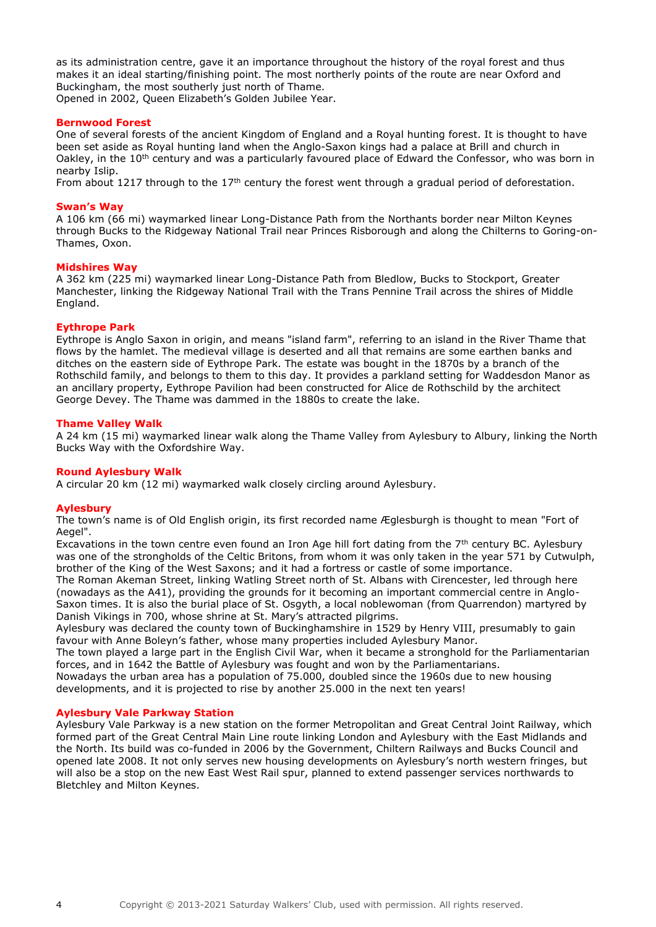as its administration centre, gave it an importance throughout the history of the royal forest and thus makes it an ideal starting/finishing point. The most northerly points of the route are near Oxford and Buckingham, the most southerly just north of Thame. Opened in 2002, Queen Elizabeth's Golden Jubilee Year.

#### **Bernwood Forest**

One of several forests of the ancient Kingdom of England and a Royal hunting forest. It is thought to have been set aside as Royal hunting land when the Anglo-Saxon kings had a palace at Brill and church in Oakley, in the 10<sup>th</sup> century and was a particularly favoured place of Edward the Confessor, who was born in nearby Islip.

From about 1217 through to the  $17<sup>th</sup>$  century the forest went through a gradual period of deforestation.

#### **Swan's Way**

A 106 km (66 mi) waymarked linear Long-Distance Path from the Northants border near Milton Keynes through Bucks to the Ridgeway National Trail near Princes Risborough and along the Chilterns to Goring-on-Thames, Oxon.

#### **Midshires Way**

A 362 km (225 mi) waymarked linear Long-Distance Path from Bledlow, Bucks to Stockport, Greater Manchester, linking the Ridgeway National Trail with the Trans Pennine Trail across the shires of Middle England.

#### **Eythrope Park**

Eythrope is Anglo Saxon in origin, and means "island farm", referring to an island in the River Thame that flows by the hamlet. The medieval village is deserted and all that remains are some earthen banks and ditches on the eastern side of Eythrope Park. The estate was bought in the 1870s by a branch of the Rothschild family, and belongs to them to this day. It provides a parkland setting for Waddesdon Manor as an ancillary property, Eythrope Pavilion had been constructed for Alice de Rothschild by the architect George Devey. The Thame was dammed in the 1880s to create the lake.

#### **Thame Valley Walk**

A 24 km (15 mi) waymarked linear walk along the Thame Valley from Aylesbury to Albury, linking the North Bucks Way with the Oxfordshire Way.

### **Round Aylesbury Walk**

A circular 20 km (12 mi) waymarked walk closely circling around Aylesbury.

### **Aylesbury**

The town's name is of Old English origin, its first recorded name Æglesburgh is thought to mean "Fort of Aegel".

Excavations in the town centre even found an Iron Age hill fort dating from the  $7<sup>th</sup>$  century BC. Aylesbury was one of the strongholds of the Celtic Britons, from whom it was only taken in the year 571 by Cutwulph, brother of the King of the West Saxons; and it had a fortress or castle of some importance.

The Roman Akeman Street, linking Watling Street north of St. Albans with Cirencester, led through here (nowadays as the A41), providing the grounds for it becoming an important commercial centre in Anglo-Saxon times. It is also the burial place of St. Osgyth, a local noblewoman (from Quarrendon) martyred by Danish Vikings in 700, whose shrine at St. Mary's attracted pilgrims.

Aylesbury was declared the county town of Buckinghamshire in 1529 by Henry VIII, presumably to gain favour with Anne Boleyn's father, whose many properties included Aylesbury Manor.

The town played a large part in the English Civil War, when it became a stronghold for the Parliamentarian forces, and in 1642 the Battle of Aylesbury was fought and won by the Parliamentarians.

Nowadays the urban area has a population of 75.000, doubled since the 1960s due to new housing developments, and it is projected to rise by another 25.000 in the next ten years!

#### **Aylesbury Vale Parkway Station**

Aylesbury Vale Parkway is a new station on the former Metropolitan and Great Central Joint Railway, which formed part of the Great Central Main Line route linking London and Aylesbury with the East Midlands and the North. Its build was co-funded in 2006 by the Government, Chiltern Railways and Bucks Council and opened late 2008. It not only serves new housing developments on Aylesbury's north western fringes, but will also be a stop on the new East West Rail spur, planned to extend passenger services northwards to Bletchley and Milton Keynes.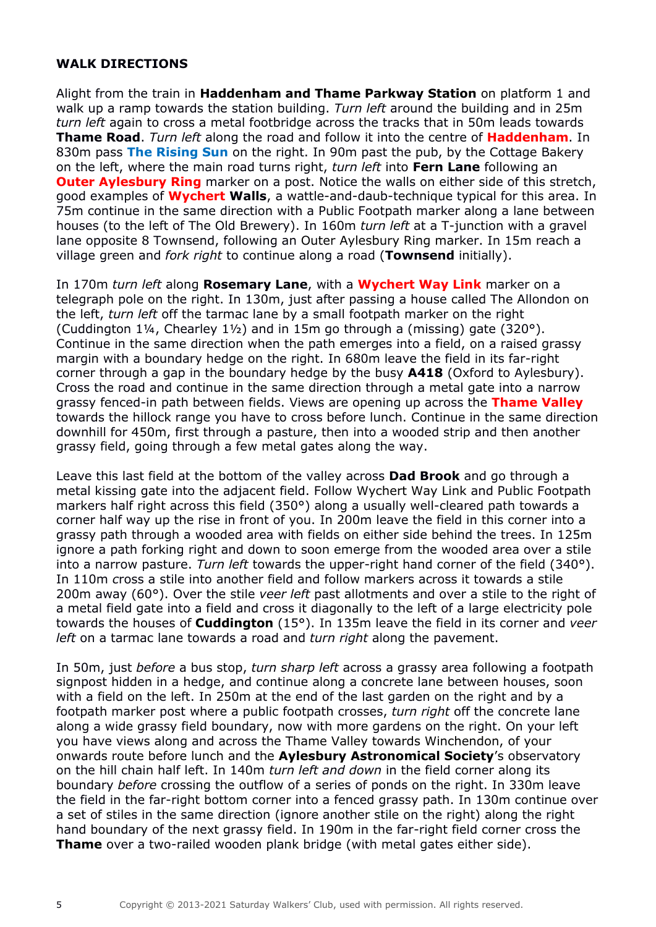# **WALK DIRECTIONS**

Alight from the train in **Haddenham and Thame Parkway Station** on platform 1 and walk up a ramp towards the station building. *Turn left* around the building and in 25m *turn left* again to cross a metal footbridge across the tracks that in 50m leads towards **Thame Road**. *Turn left* along the road and follow it into the centre of **Haddenham**. In 830m pass **The Rising Sun** on the right. In 90m past the pub, by the Cottage Bakery on the left, where the main road turns right, *turn left* into **Fern Lane** following an **Outer Aylesbury Ring** marker on a post. Notice the walls on either side of this stretch, good examples of **Wychert Walls**, a wattle-and-daub-technique typical for this area. In 75m continue in the same direction with a Public Footpath marker along a lane between houses (to the left of The Old Brewery). In 160m *turn left* at a T-junction with a gravel lane opposite 8 Townsend, following an Outer Aylesbury Ring marker. In 15m reach a village green and *fork right* to continue along a road (**Townsend** initially).

In 170m *turn left* along **Rosemary Lane**, with a **Wychert Way Link** marker on a telegraph pole on the right. In 130m, just after passing a house called The Allondon on the left, *turn left* off the tarmac lane by a small footpath marker on the right (Cuddington  $1\frac{1}{4}$ , Chearley  $1\frac{1}{2}$ ) and in 15m go through a (missing) gate (320°). Continue in the same direction when the path emerges into a field, on a raised grassy margin with a boundary hedge on the right. In 680m leave the field in its far-right corner through a gap in the boundary hedge by the busy **A418** (Oxford to Aylesbury). Cross the road and continue in the same direction through a metal gate into a narrow grassy fenced-in path between fields. Views are opening up across the **Thame Valley** towards the hillock range you have to cross before lunch. Continue in the same direction downhill for 450m, first through a pasture, then into a wooded strip and then another grassy field, going through a few metal gates along the way.

Leave this last field at the bottom of the valley across **Dad Brook** and go through a metal kissing gate into the adjacent field. Follow Wychert Way Link and Public Footpath markers half right across this field (350°) along a usually well-cleared path towards a corner half way up the rise in front of you. In 200m leave the field in this corner into a grassy path through a wooded area with fields on either side behind the trees. In 125m ignore a path forking right and down to soon emerge from the wooded area over a stile into a narrow pasture. *Turn left* towards the upper-right hand corner of the field (340°). In 110m *c*ross a stile into another field and follow markers across it towards a stile 200m away (60°). Over the stile *veer left* past allotments and over a stile to the right of a metal field gate into a field and cross it diagonally to the left of a large electricity pole towards the houses of **Cuddington** (15°). In 135m leave the field in its corner and *veer left* on a tarmac lane towards a road and *turn right* along the pavement.

In 50m, just *before* a bus stop, *turn sharp left* across a grassy area following a footpath signpost hidden in a hedge, and continue along a concrete lane between houses, soon with a field on the left. In 250m at the end of the last garden on the right and by a footpath marker post where a public footpath crosses, *turn right* off the concrete lane along a wide grassy field boundary, now with more gardens on the right. On your left you have views along and across the Thame Valley towards Winchendon, of your onwards route before lunch and the **Aylesbury Astronomical Society**'s observatory on the hill chain half left. In 140m *turn left and down* in the field corner along its boundary *before* crossing the outflow of a series of ponds on the right. In 330m leave the field in the far-right bottom corner into a fenced grassy path. In 130m continue over a set of stiles in the same direction (ignore another stile on the right) along the right hand boundary of the next grassy field. In 190m in the far-right field corner cross the **Thame** over a two-railed wooden plank bridge (with metal gates either side).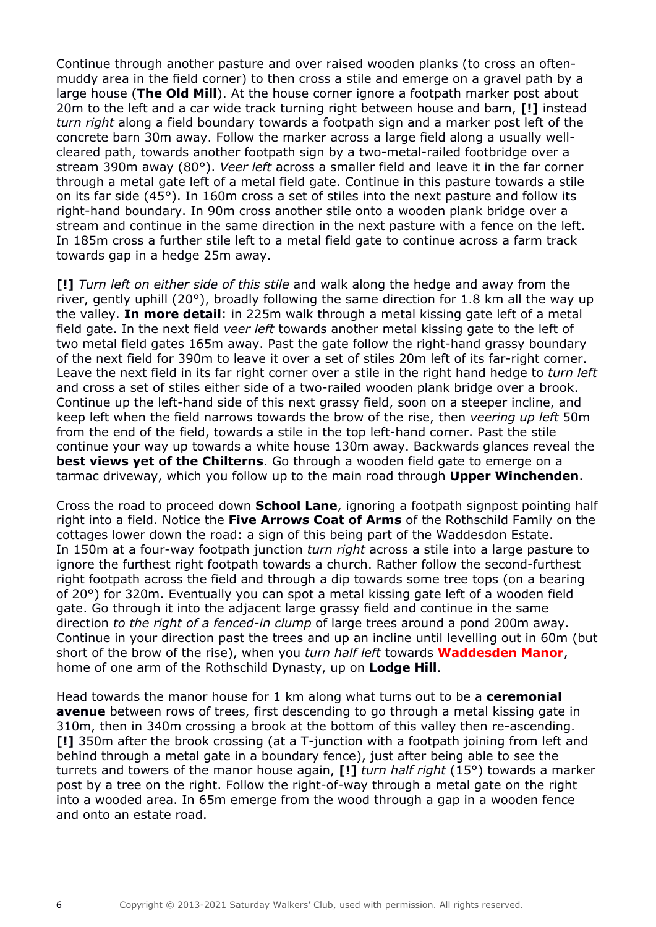Continue through another pasture and over raised wooden planks (to cross an oftenmuddy area in the field corner) to then cross a stile and emerge on a gravel path by a large house (**The Old Mill**). At the house corner ignore a footpath marker post about 20m to the left and a car wide track turning right between house and barn, **[!]** instead *turn right* along a field boundary towards a footpath sign and a marker post left of the concrete barn 30m away. Follow the marker across a large field along a usually wellcleared path, towards another footpath sign by a two-metal-railed footbridge over a stream 390m away (80°). *Veer left* across a smaller field and leave it in the far corner through a metal gate left of a metal field gate. Continue in this pasture towards a stile on its far side (45°). In 160m cross a set of stiles into the next pasture and follow its right-hand boundary. In 90m cross another stile onto a wooden plank bridge over a stream and continue in the same direction in the next pasture with a fence on the left. In 185m cross a further stile left to a metal field gate to continue across a farm track towards gap in a hedge 25m away.

**[!]** *Turn left on either side of this stile* and walk along the hedge and away from the river, gently uphill (20°), broadly following the same direction for 1.8 km all the way up the valley. **In more detail**: in 225m walk through a metal kissing gate left of a metal field gate. In the next field *veer left* towards another metal kissing gate to the left of two metal field gates 165m away. Past the gate follow the right-hand grassy boundary of the next field for 390m to leave it over a set of stiles 20m left of its far-right corner. Leave the next field in its far right corner over a stile in the right hand hedge to *turn left* and cross a set of stiles either side of a two-railed wooden plank bridge over a brook. Continue up the left-hand side of this next grassy field, soon on a steeper incline, and keep left when the field narrows towards the brow of the rise, then *veering up left* 50m from the end of the field, towards a stile in the top left-hand corner. Past the stile continue your way up towards a white house 130m away. Backwards glances reveal the **best views yet of the Chilterns**. Go through a wooden field gate to emerge on a tarmac driveway, which you follow up to the main road through **Upper Winchenden**.

Cross the road to proceed down **School Lane**, ignoring a footpath signpost pointing half right into a field. Notice the **Five Arrows Coat of Arms** of the Rothschild Family on the cottages lower down the road: a sign of this being part of the Waddesdon Estate. In 150m at a four-way footpath junction *turn right* across a stile into a large pasture to ignore the furthest right footpath towards a church. Rather follow the second-furthest right footpath across the field and through a dip towards some tree tops (on a bearing of 20°) for 320m. Eventually you can spot a metal kissing gate left of a wooden field gate. Go through it into the adjacent large grassy field and continue in the same direction *to the right of a fenced-in clump* of large trees around a pond 200m away. Continue in your direction past the trees and up an incline until levelling out in 60m (but short of the brow of the rise), when you *turn half left* towards **Waddesden Manor**, home of one arm of the Rothschild Dynasty, up on **Lodge Hill**.

Head towards the manor house for 1 km along what turns out to be a **ceremonial avenue** between rows of trees, first descending to go through a metal kissing gate in 310m, then in 340m crossing a brook at the bottom of this valley then re-ascending. **[!]** 350m after the brook crossing (at a T-junction with a footpath joining from left and behind through a metal gate in a boundary fence), just after being able to see the turrets and towers of the manor house again, **[!]** *turn half right* (15°) towards a marker post by a tree on the right. Follow the right-of-way through a metal gate on the right into a wooded area. In 65m emerge from the wood through a gap in a wooden fence and onto an estate road.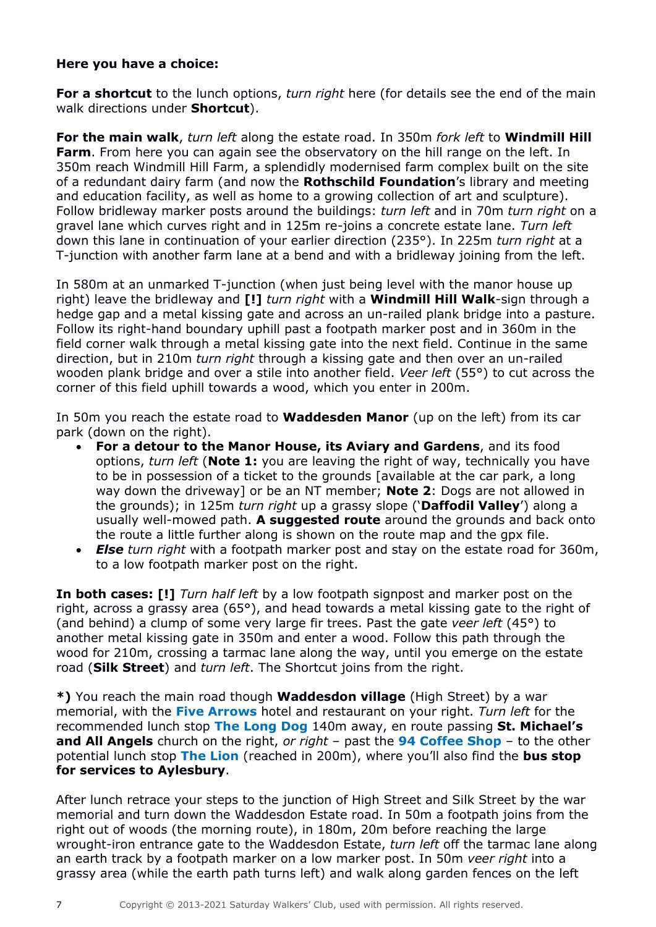# **Here you have a choice:**

**For a shortcut** to the lunch options, *turn right* here (for details see the end of the main walk directions under **Shortcut**).

**For the main walk**, *turn left* along the estate road. In 350m *fork left* to **Windmill Hill Farm**. From here you can again see the observatory on the hill range on the left. In 350m reach Windmill Hill Farm, a splendidly modernised farm complex built on the site of a redundant dairy farm (and now the **Rothschild Foundation**'s library and meeting and education facility, as well as home to a growing collection of art and sculpture). Follow bridleway marker posts around the buildings: *turn left* and in 70m *turn right* on a gravel lane which curves right and in 125m re-joins a concrete estate lane. *Turn left* down this lane in continuation of your earlier direction (235°). In 225m *turn right* at a T-junction with another farm lane at a bend and with a bridleway joining from the left.

In 580m at an unmarked T-junction (when just being level with the manor house up right) leave the bridleway and **[!]** *turn right* with a **Windmill Hill Walk**-sign through a hedge gap and a metal kissing gate and across an un-railed plank bridge into a pasture. Follow its right-hand boundary uphill past a footpath marker post and in 360m in the field corner walk through a metal kissing gate into the next field. Continue in the same direction, but in 210m *turn right* through a kissing gate and then over an un-railed wooden plank bridge and over a stile into another field. *Veer left* (55°) to cut across the corner of this field uphill towards a wood, which you enter in 200m.

In 50m you reach the estate road to **Waddesden Manor** (up on the left) from its car park (down on the right).

- **For a detour to the Manor House, its Aviary and Gardens**, and its food options, *turn left* (**Note 1:** you are leaving the right of way, technically you have to be in possession of a ticket to the grounds [available at the car park, a long way down the driveway] or be an NT member; **Note 2**: Dogs are not allowed in the grounds); in 125m *turn right* up a grassy slope ('**Daffodil Valley**') along a usually well-mowed path. **A suggested route** around the grounds and back onto the route a little further along is shown on the route map and the gpx file.
- *Else turn right* with a footpath marker post and stay on the estate road for 360m, to a low footpath marker post on the right.

**In both cases: [!]** *Turn half left* by a low footpath signpost and marker post on the right, across a grassy area (65 $^{\circ}$ ), and head towards a metal kissing gate to the right of (and behind) a clump of some very large fir trees. Past the gate *veer left* (45°) to another metal kissing gate in 350m and enter a wood. Follow this path through the wood for 210m, crossing a tarmac lane along the way, until you emerge on the estate road (**Silk Street**) and *turn left*. The Shortcut joins from the right.

**\*)** You reach the main road though **Waddesdon village** (High Street) by a war memorial, with the **Five Arrows** hotel and restaurant on your right. *Turn left* for the recommended lunch stop **The Long Dog** 140m away, en route passing **St. Michael's and All Angels** church on the right, *or right* – past the **94 Coffee Shop** – to the other potential lunch stop **The Lion** (reached in 200m), where you'll also find the **bus stop for services to Aylesbury**.

After lunch retrace your steps to the junction of High Street and Silk Street by the war memorial and turn down the Waddesdon Estate road. In 50m a footpath joins from the right out of woods (the morning route), in 180m, 20m before reaching the large wrought-iron entrance gate to the Waddesdon Estate, *turn left* off the tarmac lane along an earth track by a footpath marker on a low marker post. In 50m *veer right* into a grassy area (while the earth path turns left) and walk along garden fences on the left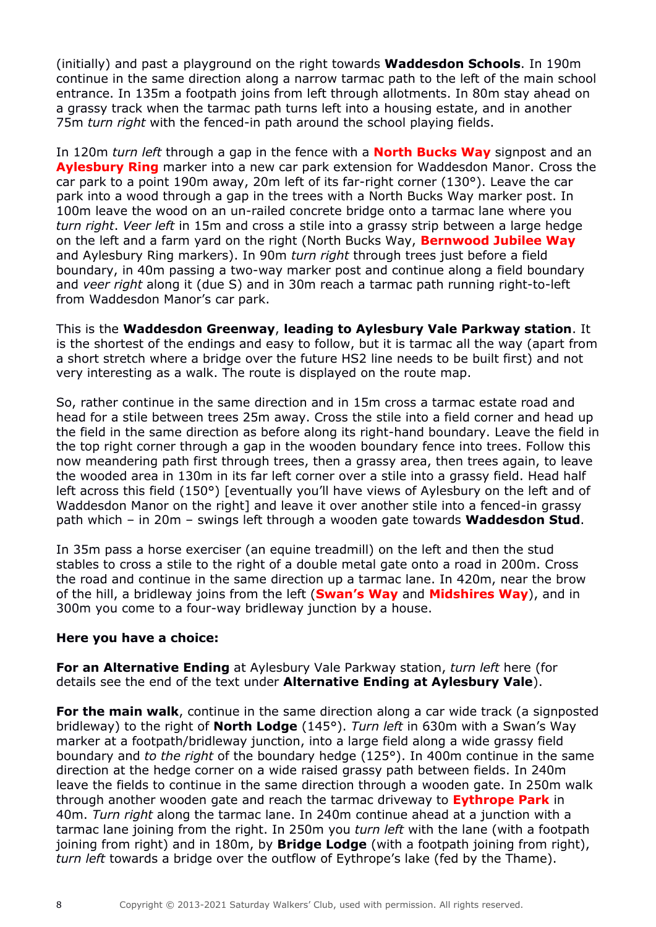(initially) and past a playground on the right towards **Waddesdon Schools**. In 190m continue in the same direction along a narrow tarmac path to the left of the main school entrance. In 135m a footpath joins from left through allotments. In 80m stay ahead on a grassy track when the tarmac path turns left into a housing estate, and in another 75m *turn right* with the fenced-in path around the school playing fields.

In 120m *turn left* through a gap in the fence with a **North Bucks Way** signpost and an **Aylesbury Ring** marker into a new car park extension for Waddesdon Manor. Cross the car park to a point 190m away, 20m left of its far-right corner (130°). Leave the car park into a wood through a gap in the trees with a North Bucks Way marker post. In 100m leave the wood on an un-railed concrete bridge onto a tarmac lane where you *turn right*. *Veer left* in 15m and cross a stile into a grassy strip between a large hedge on the left and a farm yard on the right (North Bucks Way, **Bernwood Jubilee Way** and Aylesbury Ring markers). In 90m *turn right* through trees just before a field boundary, in 40m passing a two-way marker post and continue along a field boundary and *veer right* along it (due S) and in 30m reach a tarmac path running right-to-left from Waddesdon Manor's car park.

This is the **Waddesdon Greenway**, **leading to Aylesbury Vale Parkway station**. It is the shortest of the endings and easy to follow, but it is tarmac all the way (apart from a short stretch where a bridge over the future HS2 line needs to be built first) and not very interesting as a walk. The route is displayed on the route map.

So, rather continue in the same direction and in 15m cross a tarmac estate road and head for a stile between trees 25m away. Cross the stile into a field corner and head up the field in the same direction as before along its right-hand boundary. Leave the field in the top right corner through a gap in the wooden boundary fence into trees. Follow this now meandering path first through trees, then a grassy area, then trees again, to leave the wooded area in 130m in its far left corner over a stile into a grassy field. Head half left across this field (150°) [eventually you'll have views of Aylesbury on the left and of Waddesdon Manor on the right] and leave it over another stile into a fenced-in grassy path which – in 20m – swings left through a wooden gate towards **Waddesdon Stud**.

In 35m pass a horse exerciser (an equine treadmill) on the left and then the stud stables to cross a stile to the right of a double metal gate onto a road in 200m. Cross the road and continue in the same direction up a tarmac lane. In 420m, near the brow of the hill, a bridleway joins from the left (**Swan's Way** and **Midshires Way**), and in 300m you come to a four-way bridleway junction by a house.

# **Here you have a choice:**

**For an Alternative Ending** at Aylesbury Vale Parkway station, *turn left* here (for details see the end of the text under **Alternative Ending at Aylesbury Vale**).

**For the main walk**, continue in the same direction along a car wide track (a signposted bridleway) to the right of **North Lodge** (145°). *Turn left* in 630m with a Swan's Way marker at a footpath/bridleway junction, into a large field along a wide grassy field boundary and *to the right* of the boundary hedge (125°). In 400m continue in the same direction at the hedge corner on a wide raised grassy path between fields. In 240m leave the fields to continue in the same direction through a wooden gate. In 250m walk through another wooden gate and reach the tarmac driveway to **Eythrope Park** in 40m. *Turn right* along the tarmac lane. In 240m continue ahead at a junction with a tarmac lane joining from the right. In 250m you *turn left* with the lane (with a footpath joining from right) and in 180m, by **Bridge Lodge** (with a footpath joining from right), *turn left* towards a bridge over the outflow of Eythrope's lake (fed by the Thame).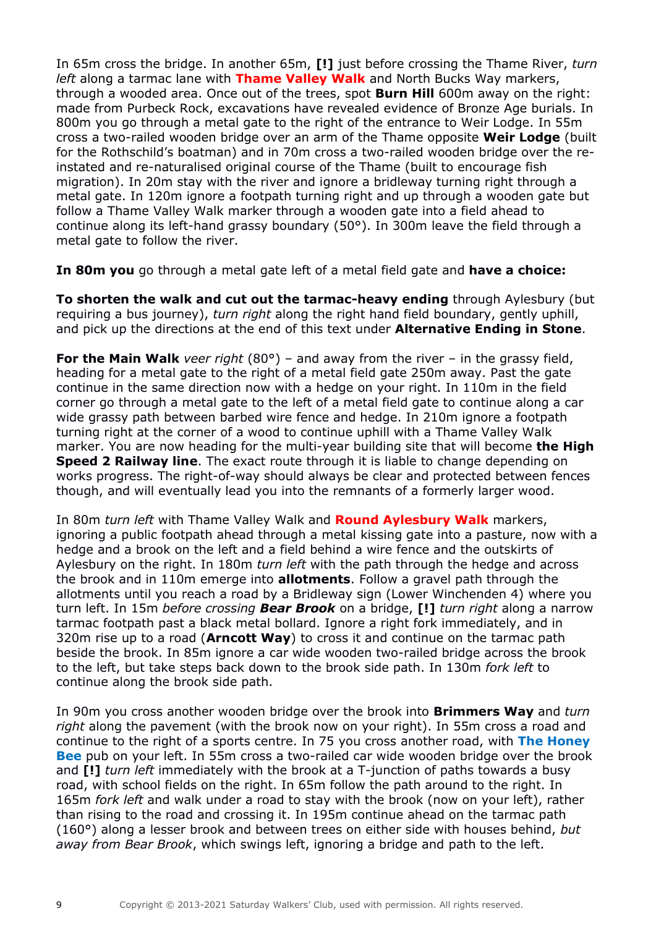In 65m cross the bridge. In another 65m, **[!]** just before crossing the Thame River, *turn left* along a tarmac lane with **Thame Valley Walk** and North Bucks Way markers, through a wooded area. Once out of the trees, spot **Burn Hill** 600m away on the right: made from Purbeck Rock, excavations have revealed evidence of Bronze Age burials. In 800m you go through a metal gate to the right of the entrance to Weir Lodge. In 55m cross a two-railed wooden bridge over an arm of the Thame opposite **Weir Lodge** (built for the Rothschild's boatman) and in 70m cross a two-railed wooden bridge over the reinstated and re-naturalised original course of the Thame (built to encourage fish migration). In 20m stay with the river and ignore a bridleway turning right through a metal gate. In 120m ignore a footpath turning right and up through a wooden gate but follow a Thame Valley Walk marker through a wooden gate into a field ahead to continue along its left-hand grassy boundary (50°). In 300m leave the field through a metal gate to follow the river.

**In 80m you** go through a metal gate left of a metal field gate and **have a choice:**

**To shorten the walk and cut out the tarmac-heavy ending** through Aylesbury (but requiring a bus journey), *turn right* along the right hand field boundary, gently uphill, and pick up the directions at the end of this text under **Alternative Ending in Stone**.

**For the Main Walk** *veer right* (80°) – and away from the river – in the grassy field, heading for a metal gate to the right of a metal field gate 250m away. Past the gate continue in the same direction now with a hedge on your right. In 110m in the field corner go through a metal gate to the left of a metal field gate to continue along a car wide grassy path between barbed wire fence and hedge. In 210m ignore a footpath turning right at the corner of a wood to continue uphill with a Thame Valley Walk marker. You are now heading for the multi-year building site that will become **the High Speed 2 Railway line**. The exact route through it is liable to change depending on works progress. The right-of-way should always be clear and protected between fences though, and will eventually lead you into the remnants of a formerly larger wood.

In 80m *turn left* with Thame Valley Walk and **Round Aylesbury Walk** markers, ignoring a public footpath ahead through a metal kissing gate into a pasture, now with a hedge and a brook on the left and a field behind a wire fence and the outskirts of Aylesbury on the right. In 180m *turn left* with the path through the hedge and across the brook and in 110m emerge into **allotments**. Follow a gravel path through the allotments until you reach a road by a Bridleway sign (Lower Winchenden 4) where you turn left. In 15m *before crossing Bear Brook* on a bridge, **[!]** *turn right* along a narrow tarmac footpath past a black metal bollard. Ignore a right fork immediately, and in 320m rise up to a road (**Arncott Way**) to cross it and continue on the tarmac path beside the brook. In 85m ignore a car wide wooden two-railed bridge across the brook to the left, but take steps back down to the brook side path. In 130m *fork left* to continue along the brook side path.

In 90m you cross another wooden bridge over the brook into **Brimmers Way** and *turn right* along the pavement (with the brook now on your right). In 55m cross a road and continue to the right of a sports centre. In 75 you cross another road, with **The Honey Bee** pub on your left. In 55m cross a two-railed car wide wooden bridge over the brook and **[!]** *turn left* immediately with the brook at a T-junction of paths towards a busy road, with school fields on the right. In 65m follow the path around to the right. In 165m *fork left* and walk under a road to stay with the brook (now on your left), rather than rising to the road and crossing it. In 195m continue ahead on the tarmac path (160°) along a lesser brook and between trees on either side with houses behind, *but away from Bear Brook*, which swings left, ignoring a bridge and path to the left.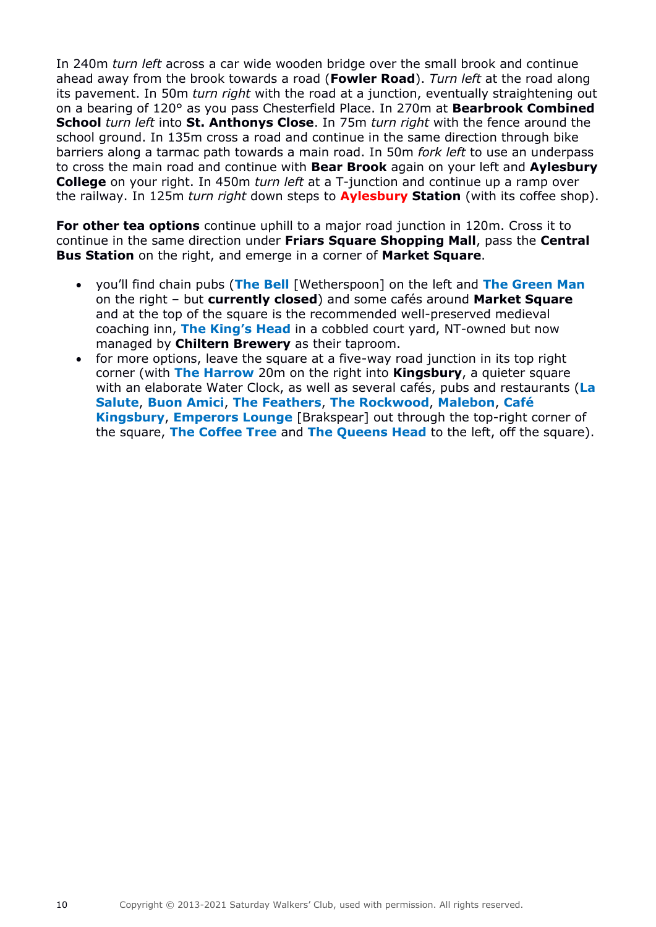In 240m *turn left* across a car wide wooden bridge over the small brook and continue ahead away from the brook towards a road (**Fowler Road**). *Turn left* at the road along its pavement. In 50m *turn right* with the road at a junction, eventually straightening out on a bearing of 120° as you pass Chesterfield Place. In 270m at **Bearbrook Combined School** *turn left* into **St. Anthonys Close**. In 75m *turn right* with the fence around the school ground. In 135m cross a road and continue in the same direction through bike barriers along a tarmac path towards a main road. In 50m *fork left* to use an underpass to cross the main road and continue with **Bear Brook** again on your left and **Aylesbury College** on your right. In 450m *turn left* at a T-junction and continue up a ramp over the railway. In 125m *turn right* down steps to **Aylesbury Station** (with its coffee shop).

**For other tea options** continue uphill to a major road junction in 120m. Cross it to continue in the same direction under **Friars Square Shopping Mall**, pass the **Central Bus Station** on the right, and emerge in a corner of **Market Square**.

- you'll find chain pubs (**The Bell** [Wetherspoon] on the left and **The Green Man** on the right – but **currently closed**) and some cafés around **Market Square** and at the top of the square is the recommended well-preserved medieval coaching inn, **The King's Head** in a cobbled court yard, NT-owned but now managed by **Chiltern Brewery** as their taproom.
- for more options, leave the square at a five-way road junction in its top right corner (with **The Harrow** 20m on the right into **Kingsbury**, a quieter square with an elaborate Water Clock, as well as several cafés, pubs and restaurants (**La Salute**, **Buon Amici**, **The Feathers**, **The Rockwood**, **Malebon**, **Café Kingsbury**, **Emperors Lounge** [Brakspear] out through the top-right corner of the square, **The Coffee Tree** and **The Queens Head** to the left, off the square).